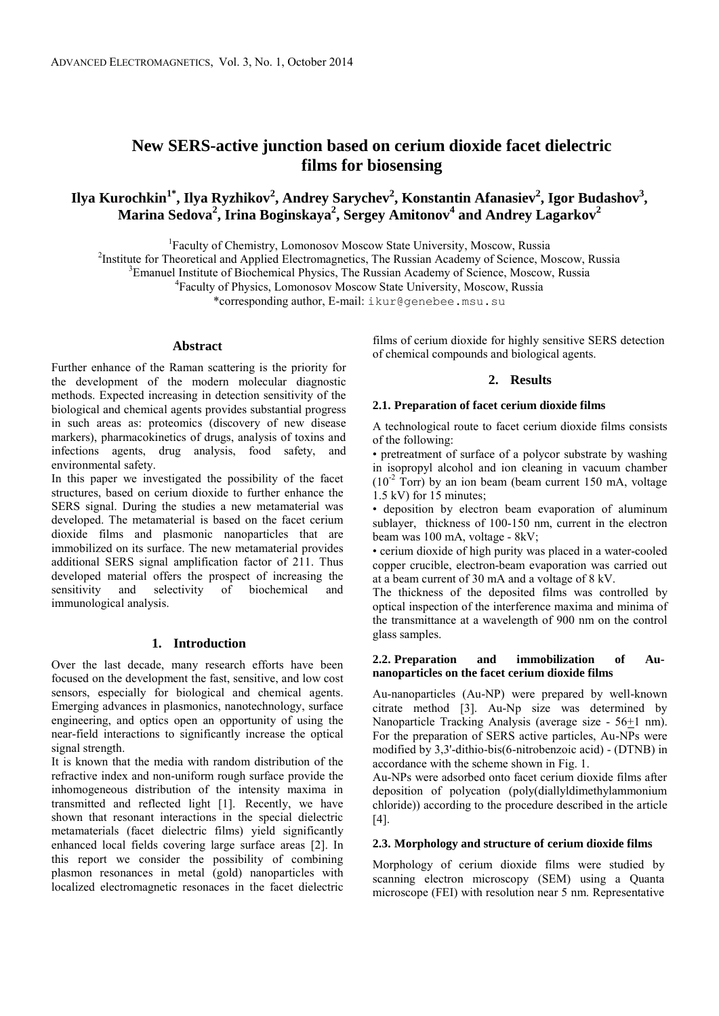# **New SERS-active junction based on cerium dioxide facet dielectric films for biosensing**

# ${\bf I}$ lya Kurochkin $^1$ \*, Ilya Ryzhikov $^2$ , Andrey Sarychev $^2$ , Konstantin Afanasiev $^2$ , Igor Budashov $^3$ , **Marina Sedova<sup>2</sup> , Irina Boginskaya<sup>2</sup> , Sergey Amitonov<sup>4</sup> and Andrey Lagarkov<sup>2</sup>**

1 Faculty of Chemistry, Lomonosov Moscow State University, Moscow, Russia

<sup>2</sup>Institute for Theoretical and Applied Electromagnetics, The Russian Academy of Science, Moscow, Russia

<sup>3</sup>Emanuel Institute of Biochemical Physics, The Russian Academy of Science, Moscow, Russia

4 Faculty of Physics, Lomonosov Moscow State University, Moscow, Russia

\*corresponding author, E-mail: ikur@genebee.msu.su

#### **Abstract**

Further enhance of the Raman scattering is the priority for the development of the modern molecular diagnostic methods. Expected increasing in detection sensitivity of the biological and chemical agents provides substantial progress in such areas as: proteomics (discovery of new disease markers), pharmacokinetics of drugs, analysis of toxins and infections agents, drug analysis, food safety, and environmental safety.

In this paper we investigated the possibility of the facet structures, based on cerium dioxide to further enhance the SERS signal. During the studies a new metamaterial was developed. The metamaterial is based on the facet cerium dioxide films and plasmonic nanoparticles that are immobilized on its surface. The new metamaterial provides additional SERS signal amplification factor of 211. Thus developed material offers the prospect of increasing the sensitivity and selectivity of biochemical and sensitivity and selectivity of biochemical and immunological analysis.

### **1. Introduction**

Over the last decade, many research efforts have been focused on the development the fast, sensitive, and low cost sensors, especially for biological and chemical agents. Emerging advances in plasmonics, nanotechnology, surface engineering, and optics open an opportunity of using the near-field interactions to significantly increase the optical signal strength.

It is known that the media with random distribution of the refractive index and non-uniform rough surface provide the inhomogeneous distribution of the intensity maxima in transmitted and reflected light [1]. Recently, we have shown that resonant interactions in the special dielectric metamaterials (facet dielectric films) yield significantly enhanced local fields covering large surface areas [2]. In this report we consider the possibility of combining plasmon resonances in metal (gold) nanoparticles with localized electromagnetic resonaces in the facet dielectric

films of cerium dioxide for highly sensitive SERS detection of chemical compounds and biological agents.

## **2. Results**

#### **2.1. Preparation of facet cerium dioxide films**

A technological route to facet cerium dioxide films consists of the following:

• pretreatment of surface of a polycor substrate by washing in isopropyl alcohol and ion cleaning in vacuum chamber  $(10^{-2}$  Torr) by an ion beam (beam current 150 mA, voltage 1.5 kV) for 15 minutes;

• deposition by electron beam evaporation of aluminum sublayer, thickness of 100-150 nm, current in the electron beam was 100 mA, voltage - 8kV;

• cerium dioxide of high purity was placed in a water-cooled copper crucible, electron-beam evaporation was carried out at a beam current of 30 mA and a voltage of 8 kV.

The thickness of the deposited films was controlled by optical inspection of the interference maxima and minima of the transmittance at a wavelength of 900 nm on the control glass samples.

#### **2.2. Preparation and immobilization of Aunanoparticles on the facet cerium dioxide films**

Au-nanoparticles (Au-NP) were prepared by well-known citrate method [3]. Au-Np size was determined by Nanoparticle Tracking Analysis (average size - 56+1 nm). For the preparation of SERS active particles, Au-NPs were modified by 3,3'-dithio-bis(6-nitrobenzoic acid) - (DTNB) in accordance with the scheme shown in Fig. 1.

Au-NPs were adsorbed onto facet cerium dioxide films after deposition of polycation (poly(diallyldimethylammonium chloride)) according to the procedure described in the article [4].

#### **2.3. Morphology and structure of cerium dioxide films**

Morphology of cerium dioxide films were studied by scanning electron microscopy (SEM) using a Quanta microscope (FEI) with resolution near 5 nm. Representative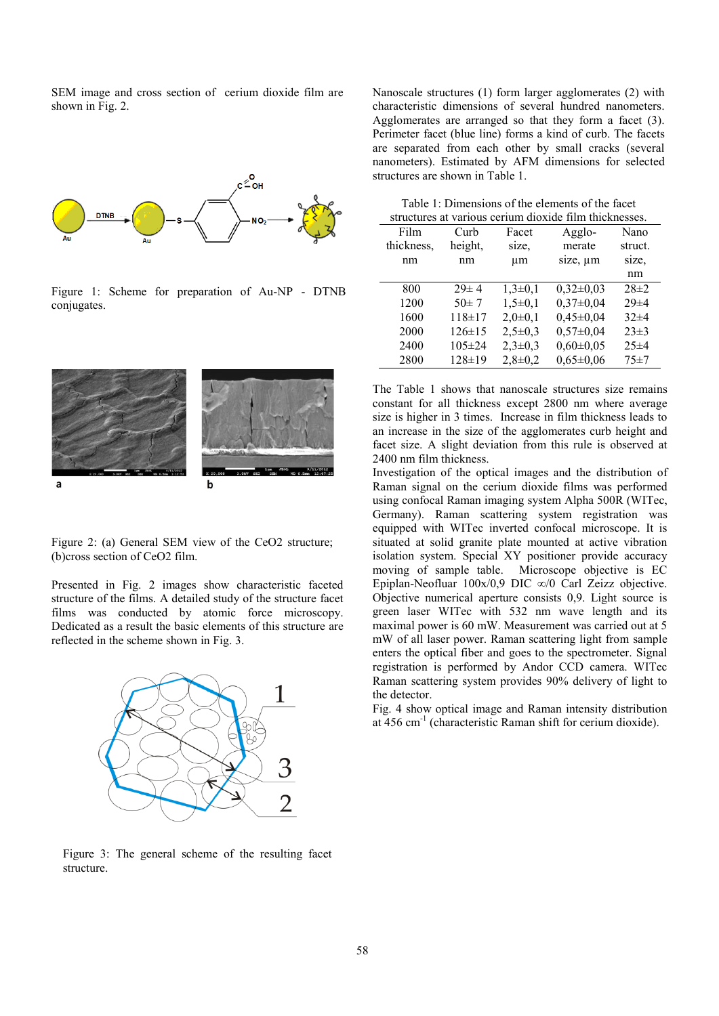SEM image and cross section of cerium dioxide film are shown in Fig. 2.



Figure 1: Scheme for preparation of Au-NP - DTNB conjugates.



Figure 2: (a) General SEM view of the CeO2 structure; (b)cross section of CeO2 film.

Presented in Fig. 2 images show characteristic faceted structure of the films. A detailed study of the structure facet films was conducted by atomic force microscopy. Dedicated as a result the basic elements of this structure are reflected in the scheme shown in Fig. 3.



Figure 3: The general scheme of the resulting facet structure.

Nanoscale structures (1) form larger agglomerates (2) with characteristic dimensions of several hundred nanometers. Agglomerates are arranged so that they form a facet (3). Perimeter facet (blue line) forms a kind of curb. The facets are separated from each other by small cracks (several nanometers). Estimated by AFM dimensions for selected structures are shown in Table 1.

Table 1: Dimensions of the elements of the facet structures at various cerium dioxide film thicknesses.

| <u>corrain aromae mini amendoses.</u> |              |             |                 |            |  |  |
|---------------------------------------|--------------|-------------|-----------------|------------|--|--|
| Film                                  | Curb         | Facet       | Agglo-          | Nano       |  |  |
| thickness,                            | height,      | size.       | merate          | struct.    |  |  |
| nm                                    | nm           | μm          | size, um        | size.      |  |  |
|                                       |              |             |                 | nm         |  |  |
| 800                                   | $29 \pm 4$   | $1,3\pm0,1$ | $0,32\pm0,03$   | $28\pm2$   |  |  |
| 1200                                  | $50 \pm 7$   | $1,5\pm0,1$ | $0,37\pm0,04$   | $29 \pm 4$ |  |  |
| 1600                                  | $118 + 17$   | $2,0+0,1$   | $0,45\pm0,04$   | $32\pm4$   |  |  |
| 2000                                  | $126 \pm 15$ | $2,5\pm0.3$ | $0,57\pm0,04$   | $23\pm3$   |  |  |
| 2400                                  | $105 \pm 24$ | $2,3\pm0,3$ | $0,60\pm0,05$   | $25 \pm 4$ |  |  |
| 2800                                  | $128 \pm 19$ | $2,8+0,2$   | $0.65 \pm 0.06$ | $75 + 7$   |  |  |
|                                       |              |             |                 |            |  |  |

The Table 1 shows that nanoscale structures size remains constant for all thickness except 2800 nm where average size is higher in 3 times. Increase in film thickness leads to an increase in the size of the agglomerates curb height and facet size. A slight deviation from this rule is observed at 2400 nm film thickness.

Investigation of the optical images and the distribution of Raman signal on the cerium dioxide films was performed using confocal Raman imaging system Alpha 500R (WITec, Germany). Raman scattering system registration was equipped with WITec inverted confocal microscope. It is situated at solid granite plate mounted at active vibration isolation system. Special XY positioner provide accuracy moving of sample table. Microscope objective is EC Epiplan-Neofluar 100x/0,9 DIC ∞/0 Carl Zeizz objective. Objective numerical aperture consists 0,9. Light source is green laser WITec with 532 nm wave length and its maximal power is 60 mW. Measurement was carried out at 5 mW of all laser power. Raman scattering light from sample enters the optical fiber and goes to the spectrometer. Signal registration is performed by Andor CCD camera. WITec Raman scattering system provides 90% delivery of light to the detector.

Fig. 4 show optical image and Raman intensity distribution at 456 cm<sup>-1</sup> (characteristic Raman shift for cerium dioxide).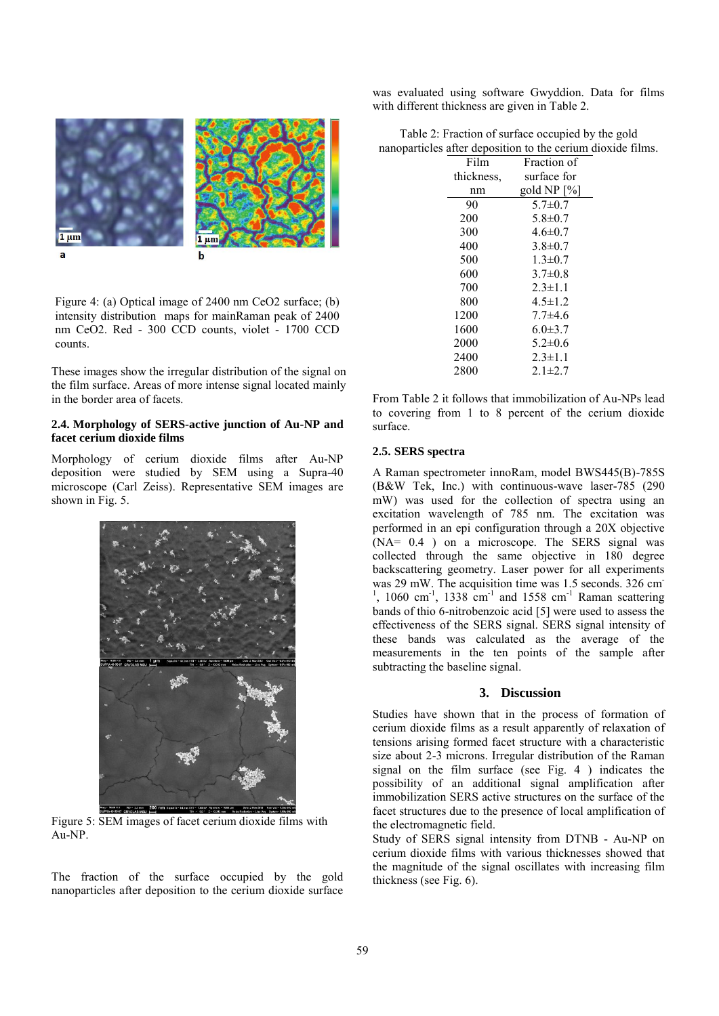

Figure 4: (a) Optical image of 2400 nm CeO2 surface; (b) intensity distribution maps for mainRaman peak of 2400 nm CeO2. Red - 300 CCD counts, violet - 1700 CCD counts.

These images show the irregular distribution of the signal on the film surface. Areas of more intense signal located mainly in the border area of facets.

## **2.4. Morphology of SERS-active junction of Au-NP and facet cerium dioxide films**

Morphology of cerium dioxide films after Au-NP deposition were studied by SEM using a Supra-40 microscope (Carl Zeiss). Representative SEM images are shown in Fig. 5.



Figure 5: SEM images of facet cerium dioxide films with Au-NP.

The fraction of the surface occupied by the gold nanoparticles after deposition to the cerium dioxide surface was evaluated using software Gwyddion. Data for films with different thickness are given in Table 2.

| Table 2: Fraction of surface occupied by the gold           |  |  |  |
|-------------------------------------------------------------|--|--|--|
| nanoparticles after deposition to the cerium dioxide films. |  |  |  |

| Film       | Fraction of   |
|------------|---------------|
| thickness, | surface for   |
| nm         | gold NP [%]   |
| 90         | $5.7 \pm 0.7$ |
| 200        | $5.8 \pm 0.7$ |
| 300        | $4.6 \pm 0.7$ |
| 400        | $3.8 \pm 0.7$ |
| 500        | $1.3 \pm 0.7$ |
| 600        | $3.7 \pm 0.8$ |
| 700        | $2.3 \pm 1.1$ |
| 800        | $4.5 \pm 1.2$ |
| 1200       | $7.7 + 4.6$   |
| 1600       | $6.0 \pm 3.7$ |
| 2000       | $5.2 \pm 0.6$ |
| 2400       | $2.3 \pm 1.1$ |
| 2800       | $2.1 \pm 2.7$ |

From Table 2 it follows that immobilization of Au-NPs lead to covering from 1 to 8 percent of the cerium dioxide surface.

## **2.5. SERS spectra**

A Raman spectrometer innoRam, model BWS445(B)-785S (B&W Tek, Inc.) with continuous-wave laser-785 (290 mW) was used for the collection of spectra using an excitation wavelength of 785 nm. The excitation was performed in an epi configuration through a 20X objective (NA= 0.4 ) on a microscope. The SERS signal was collected through the same objective in 180 degree backscattering geometry. Laser power for all experiments was 29 mW. The acquisition time was 1.5 seconds. 326 cm<sup>-</sup>  $1$ , 1060 cm<sup>-1</sup>, 1338 cm<sup>-1</sup> and 1558 cm<sup>-1</sup> Raman scattering bands of thio 6-nitrobenzoic acid [5] were used to assess the effectiveness of the SERS signal. SERS signal intensity of these bands was calculated as the average of the measurements in the ten points of the sample after subtracting the baseline signal.

## **3. Discussion**

Studies have shown that in the process of formation of cerium dioxide films as a result apparently of relaxation of tensions arising formed facet structure with a characteristic size about 2-3 microns. Irregular distribution of the Raman signal on the film surface (see Fig. 4 ) indicates the possibility of an additional signal amplification after immobilization SERS active structures on the surface of the facet structures due to the presence of local amplification of the electromagnetic field.

Study of SERS signal intensity from DTNB - Au-NP on cerium dioxide films with various thicknesses showed that the magnitude of the signal oscillates with increasing film thickness (see Fig. 6).